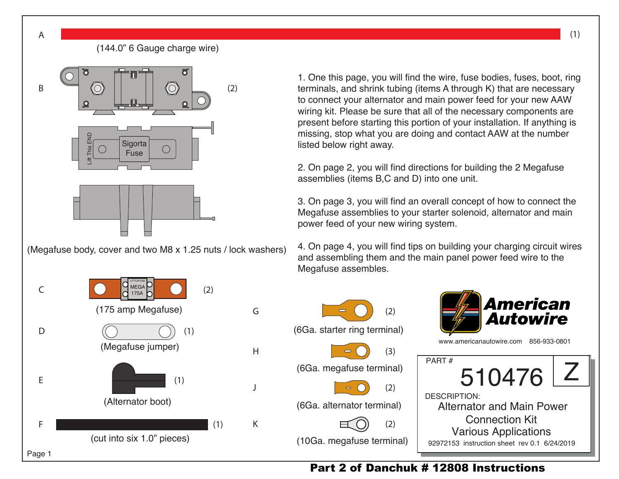

(Megafuse body, cover and two M8 x 1.25 nuts / lock washers)



1. One this page, you will find the wire, fuse bodies, fuses, boot, ring terminals, and shrink tubing (items A through K) that are necessary to connect your alternator and main power feed for your new AAW wiring kit. Please be sure that all of the necessary components are present before starting this portion of your installation. If anything is missing, stop what you are doing and contact AAW at the number listed below right away.

2. On page 2, you will find directions for building the 2 Megafuse assemblies (items B,C and D) into one unit.

3. On page 3, you will find an overall concept of how to connect the Megafuse assemblies to your starter solenoid, alternator and main power feed of your new wiring system.

4. On page 4, you will find tips on building your charging circuit wires and assembling them and the main panel power feed wire to the Megafuse assembles.



## Part 2 of Danchuk # 12808 Instructions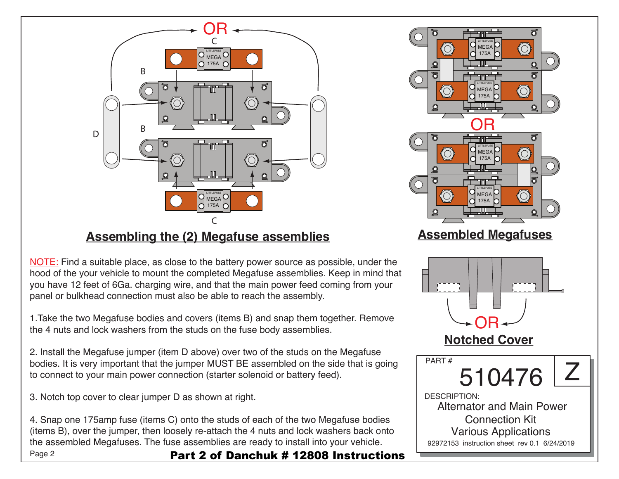

## **Assembling the (2) Megafuse assemblies**

NOTE: Find a suitable place, as close to the battery power source as possible, under the hood of the your vehicle to mount the completed Megafuse assemblies. Keep in mind that you have 12 feet of 6Ga. charging wire, and that the main power feed coming from your panel or bulkhead connection must also be able to reach the assembly.

1.Take the two Megafuse bodies and covers (items B) and snap them together. Remove the 4 nuts and lock washers from the studs on the fuse body assemblies.

2. Install the Megafuse jumper (item D above) over two of the studs on the Megafuse bodies. It is very important that the jumper MUST BE assembled on the side that is going to connect to your main power connection (starter solenoid or battery feed).

3. Notch top cover to clear jumper D as shown at right.

Page 2 4. Snap one 175amp fuse (items C) onto the studs of each of the two Megafuse bodies (items B), over the jumper, then loosely re-attach the 4 nuts and lock washers back onto the assembled Megafuses. The fuse assemblies are ready to install into your vehicle. Part 2 of Danchuk # 12808 Instructions

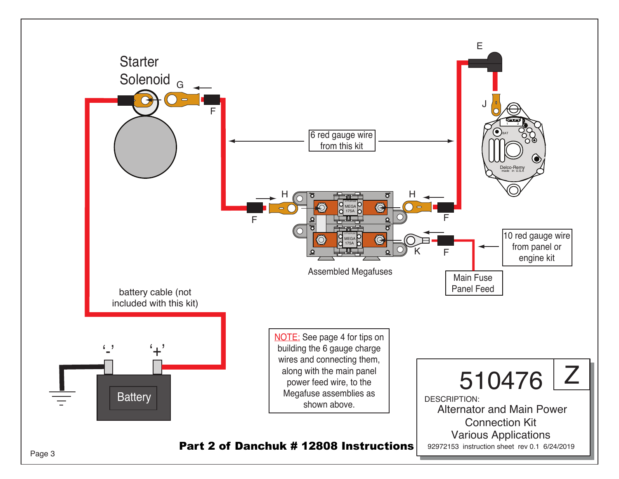